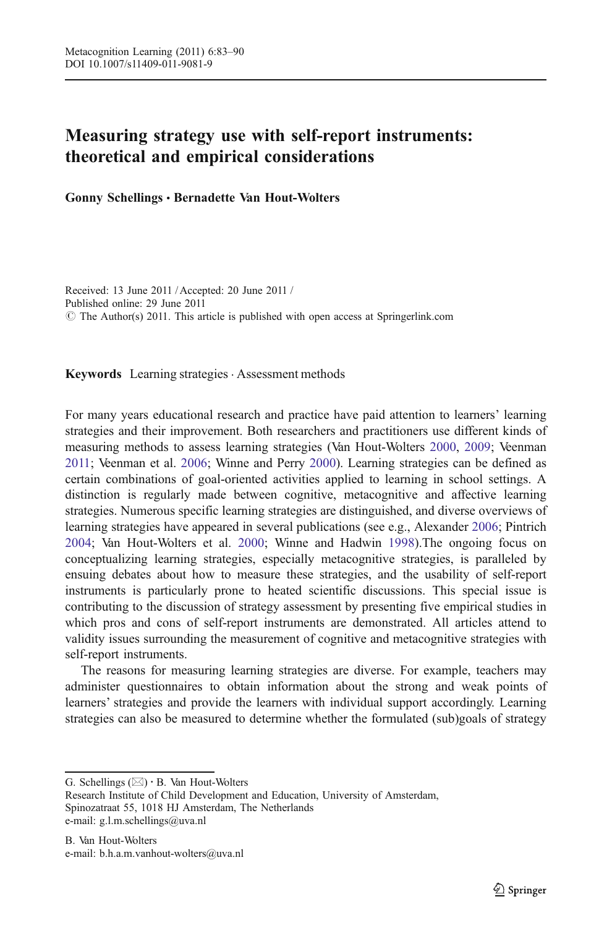# Measuring strategy use with self-report instruments: theoretical and empirical considerations

Gonny Schellings & Bernadette Van Hout-Wolters

Received: 13 June 2011 / Accepted: 20 June 2011 / Published online: 29 June 2011  $\circ$  The Author(s) 2011. This article is published with open access at Springerlink.com

Keywords Learning strategies · Assessment methods

For many years educational research and practice have paid attention to learners' learning strategies and their improvement. Both researchers and practitioners use different kinds of measuring methods to assess learning strategies (Van Hout-Wolters [2000,](#page-6-0) [2009;](#page-6-0) Veenman [2011](#page-6-0); Veenman et al. [2006;](#page-6-0) Winne and Perry [2000](#page-7-0)). Learning strategies can be defined as certain combinations of goal-oriented activities applied to learning in school settings. A distinction is regularly made between cognitive, metacognitive and affective learning strategies. Numerous specific learning strategies are distinguished, and diverse overviews of learning strategies have appeared in several publications (see e.g., Alexander [2006;](#page-6-0) Pintrich [2004;](#page-6-0) Van Hout-Wolters et al. [2000;](#page-6-0) Winne and Hadwin [1998\)](#page-7-0).The ongoing focus on conceptualizing learning strategies, especially metacognitive strategies, is paralleled by ensuing debates about how to measure these strategies, and the usability of self-report instruments is particularly prone to heated scientific discussions. This special issue is contributing to the discussion of strategy assessment by presenting five empirical studies in which pros and cons of self-report instruments are demonstrated. All articles attend to validity issues surrounding the measurement of cognitive and metacognitive strategies with self-report instruments.

The reasons for measuring learning strategies are diverse. For example, teachers may administer questionnaires to obtain information about the strong and weak points of learners' strategies and provide the learners with individual support accordingly. Learning strategies can also be measured to determine whether the formulated (sub)goals of strategy

G. Schellings  $(\boxtimes) \cdot$  B. Van Hout-Wolters

Research Institute of Child Development and Education, University of Amsterdam, Spinozatraat 55, 1018 HJ Amsterdam, The Netherlands e-mail: g.l.m.schellings@uva.nl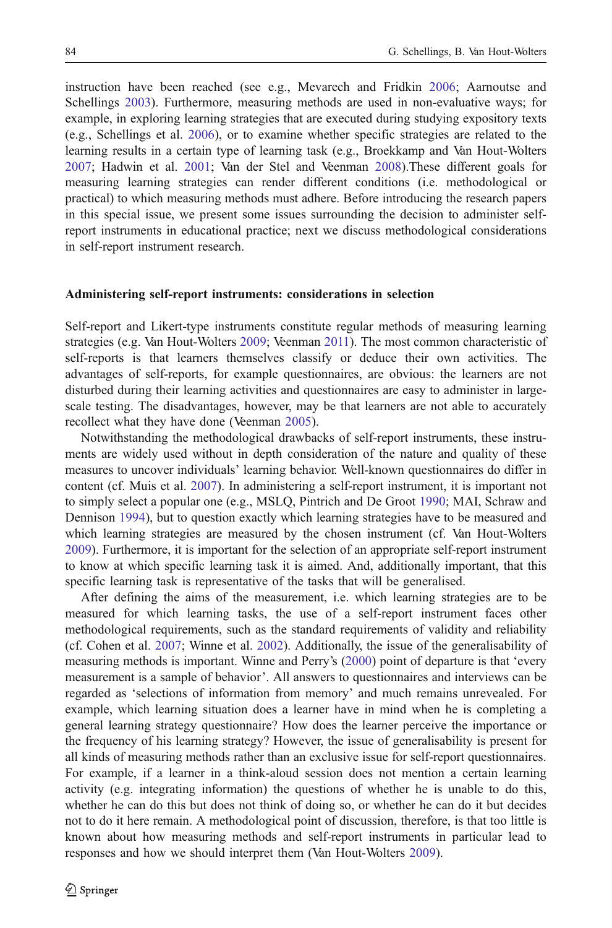instruction have been reached (see e.g., Mevarech and Fridkin [2006](#page-6-0); Aarnoutse and Schellings [2003\)](#page-6-0). Furthermore, measuring methods are used in non-evaluative ways; for example, in exploring learning strategies that are executed during studying expository texts (e.g., Schellings et al. [2006](#page-6-0)), or to examine whether specific strategies are related to the learning results in a certain type of learning task (e.g., Broekkamp and Van Hout-Wolters [2007;](#page-6-0) Hadwin et al. [2001](#page-6-0); Van der Stel and Veenman [2008](#page-6-0)).These different goals for measuring learning strategies can render different conditions (i.e. methodological or practical) to which measuring methods must adhere. Before introducing the research papers in this special issue, we present some issues surrounding the decision to administer selfreport instruments in educational practice; next we discuss methodological considerations in self-report instrument research.

## Administering self-report instruments: considerations in selection

Self-report and Likert-type instruments constitute regular methods of measuring learning strategies (e.g. Van Hout-Wolters [2009](#page-6-0); Veenman [2011](#page-6-0)). The most common characteristic of self-reports is that learners themselves classify or deduce their own activities. The advantages of self-reports, for example questionnaires, are obvious: the learners are not disturbed during their learning activities and questionnaires are easy to administer in largescale testing. The disadvantages, however, may be that learners are not able to accurately recollect what they have done (Veenman [2005\)](#page-6-0).

Notwithstanding the methodological drawbacks of self-report instruments, these instruments are widely used without in depth consideration of the nature and quality of these measures to uncover individuals' learning behavior. Well-known questionnaires do differ in content (cf. Muis et al. [2007\)](#page-6-0). In administering a self-report instrument, it is important not to simply select a popular one (e.g., MSLQ, Pintrich and De Groot [1990](#page-6-0); MAI, Schraw and Dennison [1994](#page-6-0)), but to question exactly which learning strategies have to be measured and which learning strategies are measured by the chosen instrument (cf. Van Hout-Wolters [2009\)](#page-6-0). Furthermore, it is important for the selection of an appropriate self-report instrument to know at which specific learning task it is aimed. And, additionally important, that this specific learning task is representative of the tasks that will be generalised.

After defining the aims of the measurement, i.e. which learning strategies are to be measured for which learning tasks, the use of a self-report instrument faces other methodological requirements, such as the standard requirements of validity and reliability (cf. Cohen et al. [2007](#page-6-0); Winne et al. [2002\)](#page-7-0). Additionally, the issue of the generalisability of measuring methods is important. Winne and Perry's [\(2000](#page-7-0)) point of departure is that 'every measurement is a sample of behavior'. All answers to questionnaires and interviews can be regarded as 'selections of information from memory' and much remains unrevealed. For example, which learning situation does a learner have in mind when he is completing a general learning strategy questionnaire? How does the learner perceive the importance or the frequency of his learning strategy? However, the issue of generalisability is present for all kinds of measuring methods rather than an exclusive issue for self-report questionnaires. For example, if a learner in a think-aloud session does not mention a certain learning activity (e.g. integrating information) the questions of whether he is unable to do this, whether he can do this but does not think of doing so, or whether he can do it but decides not to do it here remain. A methodological point of discussion, therefore, is that too little is known about how measuring methods and self-report instruments in particular lead to responses and how we should interpret them (Van Hout-Wolters [2009](#page-6-0)).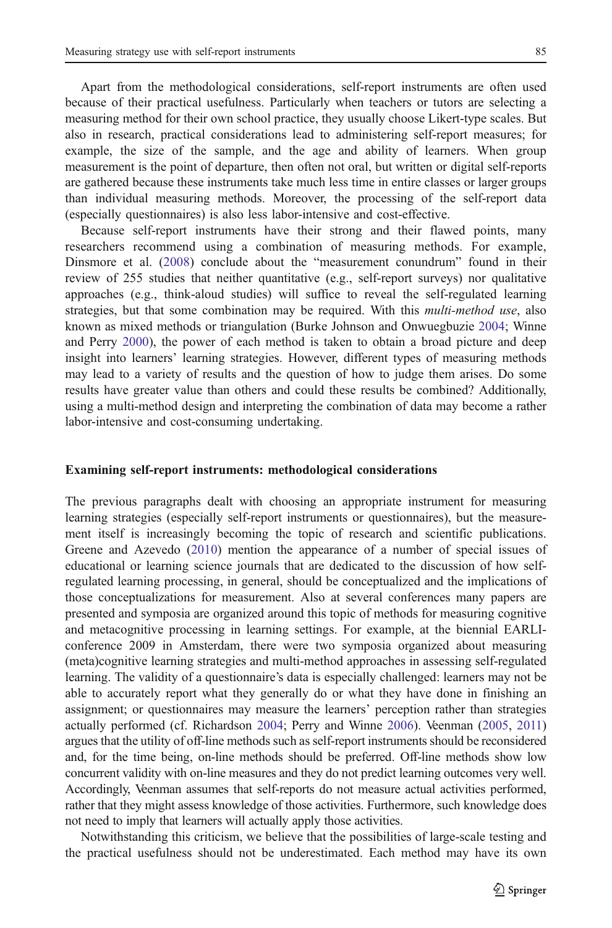Apart from the methodological considerations, self-report instruments are often used because of their practical usefulness. Particularly when teachers or tutors are selecting a measuring method for their own school practice, they usually choose Likert-type scales. But also in research, practical considerations lead to administering self-report measures; for example, the size of the sample, and the age and ability of learners. When group measurement is the point of departure, then often not oral, but written or digital self-reports are gathered because these instruments take much less time in entire classes or larger groups than individual measuring methods. Moreover, the processing of the self-report data (especially questionnaires) is also less labor-intensive and cost-effective.

Because self-report instruments have their strong and their flawed points, many researchers recommend using a combination of measuring methods. For example, Dinsmore et al. [\(2008](#page-6-0)) conclude about the "measurement conundrum" found in their review of 255 studies that neither quantitative (e.g., self-report surveys) nor qualitative approaches (e.g., think-aloud studies) will suffice to reveal the self-regulated learning strategies, but that some combination may be required. With this *multi-method use*, also known as mixed methods or triangulation (Burke Johnson and Onwuegbuzie [2004;](#page-6-0) Winne and Perry [2000\)](#page-7-0), the power of each method is taken to obtain a broad picture and deep insight into learners' learning strategies. However, different types of measuring methods may lead to a variety of results and the question of how to judge them arises. Do some results have greater value than others and could these results be combined? Additionally, using a multi-method design and interpreting the combination of data may become a rather labor-intensive and cost-consuming undertaking.

# Examining self-report instruments: methodological considerations

The previous paragraphs dealt with choosing an appropriate instrument for measuring learning strategies (especially self-report instruments or questionnaires), but the measurement itself is increasingly becoming the topic of research and scientific publications. Greene and Azevedo [\(2010](#page-6-0)) mention the appearance of a number of special issues of educational or learning science journals that are dedicated to the discussion of how selfregulated learning processing, in general, should be conceptualized and the implications of those conceptualizations for measurement. Also at several conferences many papers are presented and symposia are organized around this topic of methods for measuring cognitive and metacognitive processing in learning settings. For example, at the biennial EARLIconference 2009 in Amsterdam, there were two symposia organized about measuring (meta)cognitive learning strategies and multi-method approaches in assessing self-regulated learning. The validity of a questionnaire's data is especially challenged: learners may not be able to accurately report what they generally do or what they have done in finishing an assignment; or questionnaires may measure the learners' perception rather than strategies actually performed (cf. Richardson [2004;](#page-6-0) Perry and Winne [2006](#page-6-0)). Veenman ([2005](#page-6-0), [2011\)](#page-6-0) argues that the utility of off-line methods such as self-report instruments should be reconsidered and, for the time being, on-line methods should be preferred. Off-line methods show low concurrent validity with on-line measures and they do not predict learning outcomes very well. Accordingly, Veenman assumes that self-reports do not measure actual activities performed, rather that they might assess knowledge of those activities. Furthermore, such knowledge does not need to imply that learners will actually apply those activities.

Notwithstanding this criticism, we believe that the possibilities of large-scale testing and the practical usefulness should not be underestimated. Each method may have its own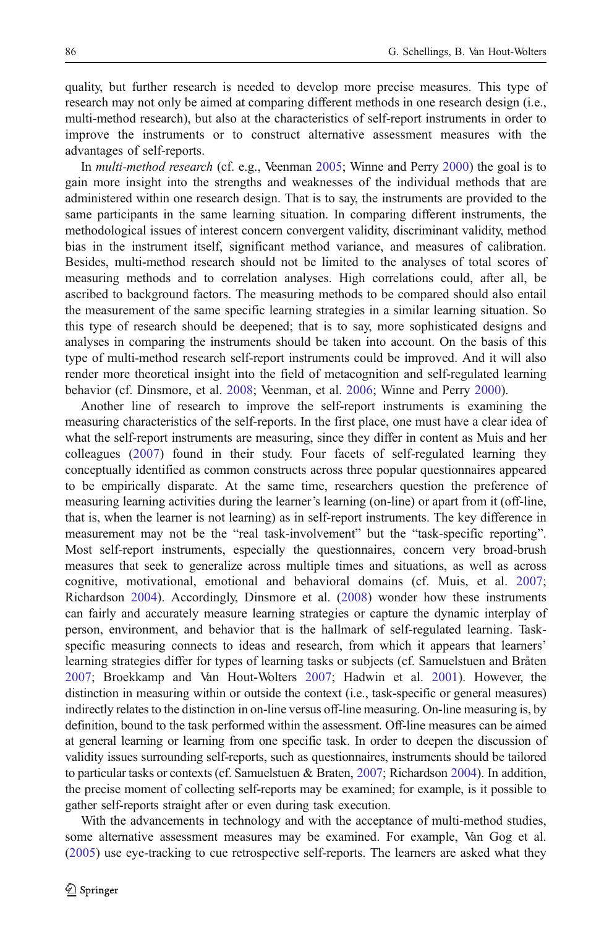quality, but further research is needed to develop more precise measures. This type of research may not only be aimed at comparing different methods in one research design (i.e., multi-method research), but also at the characteristics of self-report instruments in order to improve the instruments or to construct alternative assessment measures with the advantages of self-reports.

In *multi-method research* (cf. e.g., Veenman [2005;](#page-6-0) Winne and Perry [2000\)](#page-7-0) the goal is to gain more insight into the strengths and weaknesses of the individual methods that are administered within one research design. That is to say, the instruments are provided to the same participants in the same learning situation. In comparing different instruments, the methodological issues of interest concern convergent validity, discriminant validity, method bias in the instrument itself, significant method variance, and measures of calibration. Besides, multi-method research should not be limited to the analyses of total scores of measuring methods and to correlation analyses. High correlations could, after all, be ascribed to background factors. The measuring methods to be compared should also entail the measurement of the same specific learning strategies in a similar learning situation. So this type of research should be deepened; that is to say, more sophisticated designs and analyses in comparing the instruments should be taken into account. On the basis of this type of multi-method research self-report instruments could be improved. And it will also render more theoretical insight into the field of metacognition and self-regulated learning behavior (cf. Dinsmore, et al. [2008;](#page-6-0) Veenman, et al. [2006;](#page-6-0) Winne and Perry [2000\)](#page-7-0).

Another line of research to improve the self-report instruments is examining the measuring characteristics of the self-reports. In the first place, one must have a clear idea of what the self-report instruments are measuring, since they differ in content as Muis and her colleagues ([2007\)](#page-6-0) found in their study. Four facets of self-regulated learning they conceptually identified as common constructs across three popular questionnaires appeared to be empirically disparate. At the same time, researchers question the preference of measuring learning activities during the learner's learning (on-line) or apart from it (off-line, that is, when the learner is not learning) as in self-report instruments. The key difference in measurement may not be the "real task-involvement" but the "task-specific reporting". Most self-report instruments, especially the questionnaires, concern very broad-brush measures that seek to generalize across multiple times and situations, as well as across cognitive, motivational, emotional and behavioral domains (cf. Muis, et al. [2007;](#page-6-0) Richardson [2004\)](#page-6-0). Accordingly, Dinsmore et al. [\(2008](#page-6-0)) wonder how these instruments can fairly and accurately measure learning strategies or capture the dynamic interplay of person, environment, and behavior that is the hallmark of self-regulated learning. Taskspecific measuring connects to ideas and research, from which it appears that learners' learning strategies differ for types of learning tasks or subjects (cf. Samuelstuen and Bråten [2007;](#page-6-0) Broekkamp and Van Hout-Wolters [2007](#page-6-0); Hadwin et al. [2001](#page-6-0)). However, the distinction in measuring within or outside the context (i.e., task-specific or general measures) indirectly relates to the distinction in on-line versus off-line measuring. On-line measuring is, by definition, bound to the task performed within the assessment. Off-line measures can be aimed at general learning or learning from one specific task. In order to deepen the discussion of validity issues surrounding self-reports, such as questionnaires, instruments should be tailored to particular tasks or contexts (cf. Samuelstuen & Braten, [2007;](#page-6-0) Richardson [2004\)](#page-6-0). In addition, the precise moment of collecting self-reports may be examined; for example, is it possible to gather self-reports straight after or even during task execution.

With the advancements in technology and with the acceptance of multi-method studies, some alternative assessment measures may be examined. For example, Van Gog et al. ([2005\)](#page-6-0) use eye-tracking to cue retrospective self-reports. The learners are asked what they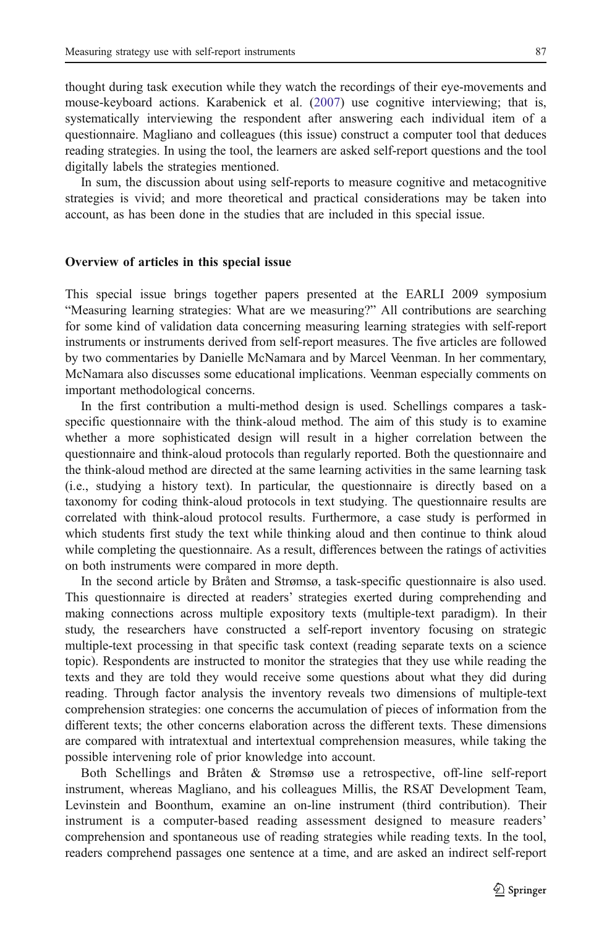thought during task execution while they watch the recordings of their eye-movements and mouse-keyboard actions. Karabenick et al. ([2007](#page-6-0)) use cognitive interviewing; that is, systematically interviewing the respondent after answering each individual item of a questionnaire. Magliano and colleagues (this issue) construct a computer tool that deduces reading strategies. In using the tool, the learners are asked self-report questions and the tool digitally labels the strategies mentioned.

In sum, the discussion about using self-reports to measure cognitive and metacognitive strategies is vivid; and more theoretical and practical considerations may be taken into account, as has been done in the studies that are included in this special issue.

#### Overview of articles in this special issue

This special issue brings together papers presented at the EARLI 2009 symposium "Measuring learning strategies: What are we measuring?" All contributions are searching for some kind of validation data concerning measuring learning strategies with self-report instruments or instruments derived from self-report measures. The five articles are followed by two commentaries by Danielle McNamara and by Marcel Veenman. In her commentary, McNamara also discusses some educational implications. Veenman especially comments on important methodological concerns.

In the first contribution a multi-method design is used. Schellings compares a taskspecific questionnaire with the think-aloud method. The aim of this study is to examine whether a more sophisticated design will result in a higher correlation between the questionnaire and think-aloud protocols than regularly reported. Both the questionnaire and the think-aloud method are directed at the same learning activities in the same learning task (i.e., studying a history text). In particular, the questionnaire is directly based on a taxonomy for coding think-aloud protocols in text studying. The questionnaire results are correlated with think-aloud protocol results. Furthermore, a case study is performed in which students first study the text while thinking aloud and then continue to think aloud while completing the questionnaire. As a result, differences between the ratings of activities on both instruments were compared in more depth.

In the second article by Bråten and Strømsø, a task-specific questionnaire is also used. This questionnaire is directed at readers' strategies exerted during comprehending and making connections across multiple expository texts (multiple-text paradigm). In their study, the researchers have constructed a self-report inventory focusing on strategic multiple-text processing in that specific task context (reading separate texts on a science topic). Respondents are instructed to monitor the strategies that they use while reading the texts and they are told they would receive some questions about what they did during reading. Through factor analysis the inventory reveals two dimensions of multiple-text comprehension strategies: one concerns the accumulation of pieces of information from the different texts; the other concerns elaboration across the different texts. These dimensions are compared with intratextual and intertextual comprehension measures, while taking the possible intervening role of prior knowledge into account.

Both Schellings and Bråten & Strømsø use a retrospective, off-line self-report instrument, whereas Magliano, and his colleagues Millis, the RSAT Development Team, Levinstein and Boonthum, examine an on-line instrument (third contribution). Their instrument is a computer-based reading assessment designed to measure readers' comprehension and spontaneous use of reading strategies while reading texts. In the tool, readers comprehend passages one sentence at a time, and are asked an indirect self-report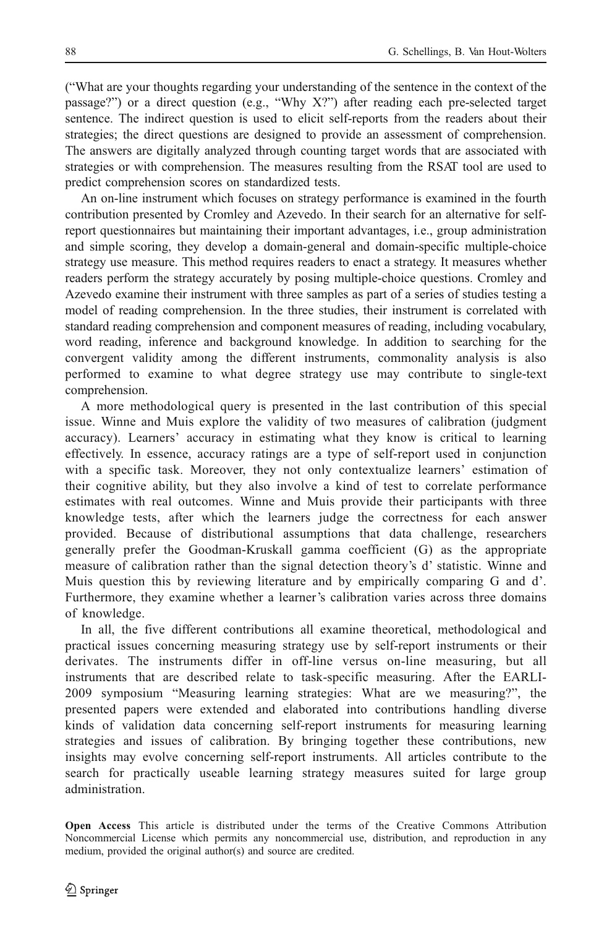("What are your thoughts regarding your understanding of the sentence in the context of the passage?") or a direct question (e.g., "Why X?") after reading each pre-selected target sentence. The indirect question is used to elicit self-reports from the readers about their strategies; the direct questions are designed to provide an assessment of comprehension. The answers are digitally analyzed through counting target words that are associated with strategies or with comprehension. The measures resulting from the RSAT tool are used to predict comprehension scores on standardized tests.

An on-line instrument which focuses on strategy performance is examined in the fourth contribution presented by Cromley and Azevedo. In their search for an alternative for selfreport questionnaires but maintaining their important advantages, i.e., group administration and simple scoring, they develop a domain-general and domain-specific multiple-choice strategy use measure. This method requires readers to enact a strategy. It measures whether readers perform the strategy accurately by posing multiple-choice questions. Cromley and Azevedo examine their instrument with three samples as part of a series of studies testing a model of reading comprehension. In the three studies, their instrument is correlated with standard reading comprehension and component measures of reading, including vocabulary, word reading, inference and background knowledge. In addition to searching for the convergent validity among the different instruments, commonality analysis is also performed to examine to what degree strategy use may contribute to single-text comprehension.

A more methodological query is presented in the last contribution of this special issue. Winne and Muis explore the validity of two measures of calibration (judgment accuracy). Learners' accuracy in estimating what they know is critical to learning effectively. In essence, accuracy ratings are a type of self-report used in conjunction with a specific task. Moreover, they not only contextualize learners' estimation of their cognitive ability, but they also involve a kind of test to correlate performance estimates with real outcomes. Winne and Muis provide their participants with three knowledge tests, after which the learners judge the correctness for each answer provided. Because of distributional assumptions that data challenge, researchers generally prefer the Goodman-Kruskall gamma coefficient (G) as the appropriate measure of calibration rather than the signal detection theory's d' statistic. Winne and Muis question this by reviewing literature and by empirically comparing G and d'. Furthermore, they examine whether a learner's calibration varies across three domains of knowledge.

In all, the five different contributions all examine theoretical, methodological and practical issues concerning measuring strategy use by self-report instruments or their derivates. The instruments differ in off-line versus on-line measuring, but all instruments that are described relate to task-specific measuring. After the EARLI-2009 symposium "Measuring learning strategies: What are we measuring?", the presented papers were extended and elaborated into contributions handling diverse kinds of validation data concerning self-report instruments for measuring learning strategies and issues of calibration. By bringing together these contributions, new insights may evolve concerning self-report instruments. All articles contribute to the search for practically useable learning strategy measures suited for large group administration.

Open Access This article is distributed under the terms of the Creative Commons Attribution Noncommercial License which permits any noncommercial use, distribution, and reproduction in any medium, provided the original author(s) and source are credited.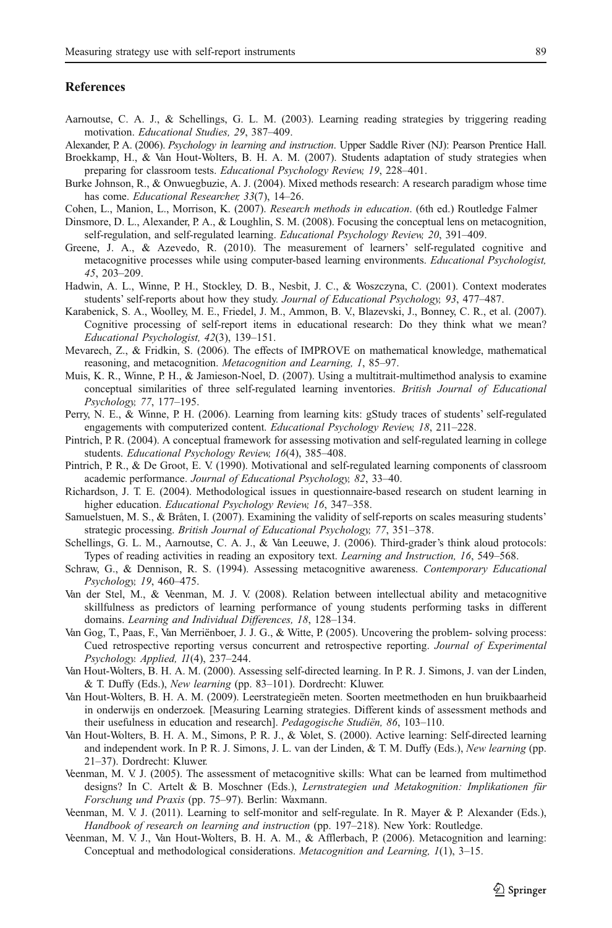# <span id="page-6-0"></span>**References**

- Aarnoutse, C. A. J., & Schellings, G. L. M. (2003). Learning reading strategies by triggering reading motivation. Educational Studies, 29, 387–409.
- Alexander, P. A. (2006). Psychology in learning and instruction. Upper Saddle River (NJ): Pearson Prentice Hall.
- Broekkamp, H., & Van Hout-Wolters, B. H. A. M. (2007). Students adaptation of study strategies when preparing for classroom tests. Educational Psychology Review, 19, 228–401.
- Burke Johnson, R., & Onwuegbuzie, A. J. (2004). Mixed methods research: A research paradigm whose time has come. Educational Researcher, 33(7), 14-26.
- Cohen, L., Manion, L., Morrison, K. (2007). Research methods in education. (6th ed.) Routledge Falmer
- Dinsmore, D. L., Alexander, P. A., & Loughlin, S. M. (2008). Focusing the conceptual lens on metacognition, self-regulation, and self-regulated learning. Educational Psychology Review, 20, 391–409.
- Greene, J. A., & Azevedo, R. (2010). The measurement of learners' self-regulated cognitive and metacognitive processes while using computer-based learning environments. Educational Psychologist, 45, 203–209.
- Hadwin, A. L., Winne, P. H., Stockley, D. B., Nesbit, J. C., & Woszczyna, C. (2001). Context moderates students' self-reports about how they study. Journal of Educational Psychology, 93, 477–487.
- Karabenick, S. A., Woolley, M. E., Friedel, J. M., Ammon, B. V., Blazevski, J., Bonney, C. R., et al. (2007). Cognitive processing of self-report items in educational research: Do they think what we mean? Educational Psychologist, 42(3), 139–151.
- Mevarech, Z., & Fridkin, S. (2006). The effects of IMPROVE on mathematical knowledge, mathematical reasoning, and metacognition. Metacognition and Learning, 1, 85–97.
- Muis, K. R., Winne, P. H., & Jamieson-Noel, D. (2007). Using a multitrait-multimethod analysis to examine conceptual similarities of three self-regulated learning inventories. British Journal of Educational Psychology, 77, 177–195.
- Perry, N. E., & Winne, P. H. (2006). Learning from learning kits: gStudy traces of students' self-regulated engagements with computerized content. Educational Psychology Review, 18, 211-228.
- Pintrich, P. R. (2004). A conceptual framework for assessing motivation and self-regulated learning in college students. Educational Psychology Review, 16(4), 385–408.
- Pintrich, P. R., & De Groot, E. V. (1990). Motivational and self-regulated learning components of classroom academic performance. Journal of Educational Psychology, 82, 33–40.
- Richardson, J. T. E. (2004). Methodological issues in questionnaire-based research on student learning in higher education. Educational Psychology Review, 16, 347–358.
- Samuelstuen, M. S., & Bråten, I. (2007). Examining the validity of self-reports on scales measuring students' strategic processing. British Journal of Educational Psychology, 77, 351–378.
- Schellings, G. L. M., Aarnoutse, C. A. J., & Van Leeuwe, J. (2006). Third-grader's think aloud protocols: Types of reading activities in reading an expository text. Learning and Instruction, 16, 549–568.
- Schraw, G., & Dennison, R. S. (1994). Assessing metacognitive awareness. Contemporary Educational Psychology, 19, 460–475.
- Van der Stel, M., & Veenman, M. J. V. (2008). Relation between intellectual ability and metacognitive skillfulness as predictors of learning performance of young students performing tasks in different domains. Learning and Individual Differences, 18, 128–134.
- Van Gog, T., Paas, F., Van Merriënboer, J. J. G., & Witte, P. (2005). Uncovering the problem- solving process: Cued retrospective reporting versus concurrent and retrospective reporting. Journal of Experimental Psychology. Applied, 11(4), 237–244.
- Van Hout-Wolters, B. H. A. M. (2000). Assessing self-directed learning. In P. R. J. Simons, J. van der Linden, & T. Duffy (Eds.), New learning (pp. 83–101). Dordrecht: Kluwer.
- Van Hout-Wolters, B. H. A. M. (2009). Leerstrategieën meten. Soorten meetmethoden en hun bruikbaarheid in onderwijs en onderzoek. [Measuring Learning strategies. Different kinds of assessment methods and their usefulness in education and research]. Pedagogische Studiën, 86, 103–110.
- Van Hout-Wolters, B. H. A. M., Simons, P. R. J., & Volet, S. (2000). Active learning: Self-directed learning and independent work. In P. R. J. Simons, J. L. van der Linden, & T. M. Duffy (Eds.), New learning (pp. 21–37). Dordrecht: Kluwer.
- Veenman, M. V. J. (2005). The assessment of metacognitive skills: What can be learned from multimethod designs? In C. Artelt & B. Moschner (Eds.), Lernstrategien und Metakognition: Implikationen für Forschung und Praxis (pp. 75–97). Berlin: Waxmann.
- Veenman, M. V. J. (2011). Learning to self-monitor and self-regulate. In R. Mayer & P. Alexander (Eds.), Handbook of research on learning and instruction (pp. 197–218). New York: Routledge.
- Veenman, M. V. J., Van Hout-Wolters, B. H. A. M., & Afflerbach, P. (2006). Metacognition and learning: Conceptual and methodological considerations. Metacognition and Learning, 1(1), 3–15.